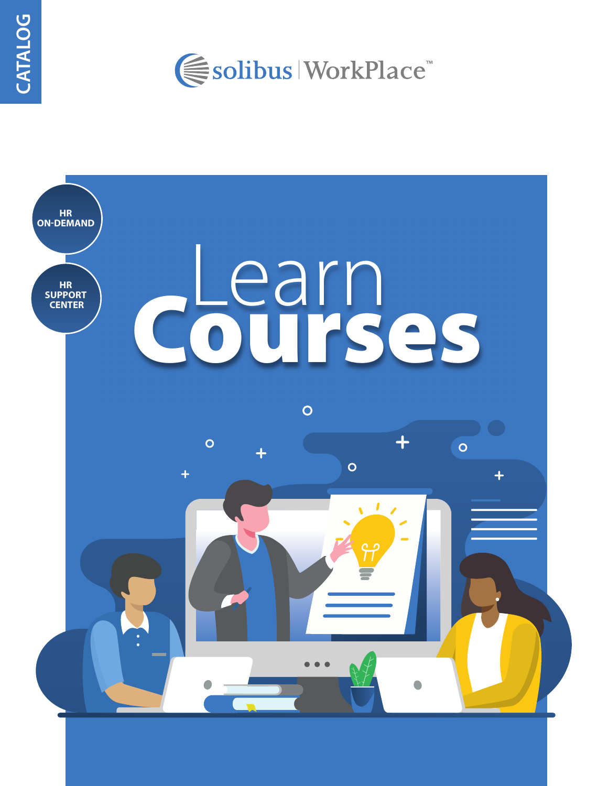

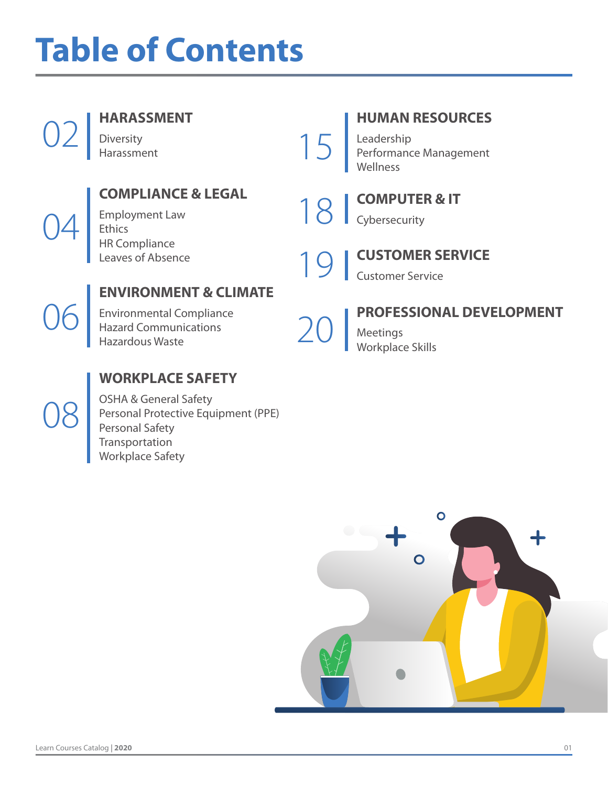## **Table of Contents**

|    | <b>HARASSMENT</b><br>Diversity<br>Harassment                                                                                  | 15 <sub>l</sub> | <b>HUMAN RESOURCES</b><br>Leadership<br>Performance Management<br>Wellness                      |
|----|-------------------------------------------------------------------------------------------------------------------------------|-----------------|-------------------------------------------------------------------------------------------------|
|    | <b>COMPLIANCE &amp; LEGAL</b><br><b>Employment Law</b><br>Ethics<br>HR Compliance<br>Leaves of Absence                        |                 | <b>COMPUTER &amp; IT</b><br>Cybersecurity<br><b>CUSTOMER SERVICE</b><br><b>Customer Service</b> |
| U6 | <b>ENVIRONMENT &amp; CLIMATE</b><br><b>Environmental Compliance</b><br><b>Hazard Communications</b><br><b>Hazardous Waste</b> |                 | PROFESSIONAL DEVELOPMENT<br>Meetings<br>Workplace Skills                                        |



### **WORKPLACE SAFETY**

OSHA & General Safety Personal Protective Equipment (PPE) Personal Safety **Transportation** Workplace Safety

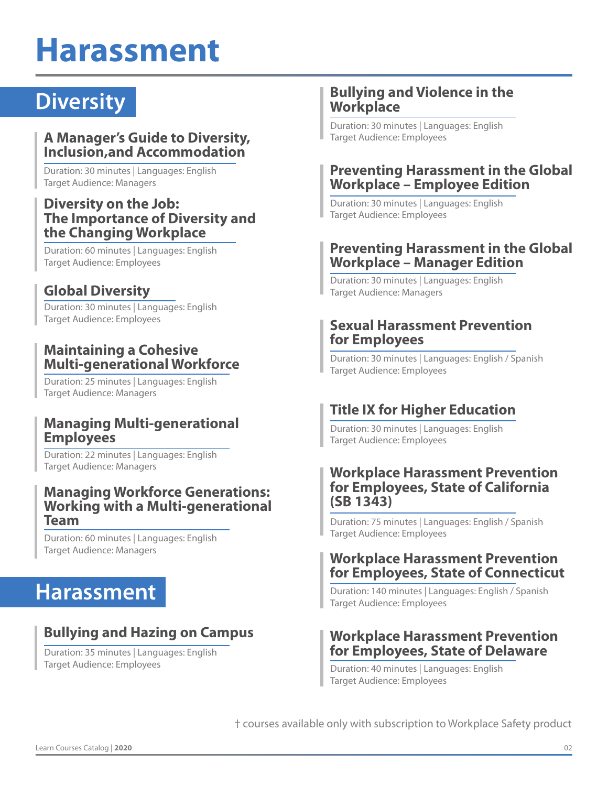## **Harassment**

## **Diversity**

#### **A Manager's Guide to Diversity, Inclusion,and Accommodation**

Duration: 30 minutes | Languages: English Target Audience: Managers

#### **Diversity on the Job: The Importance of Diversity and the Changing Workplace**

Duration: 60 minutes | Languages: English Target Audience: Employees

#### **Global Diversity**

Duration: 30 minutes | Languages: English Target Audience: Employees

#### **Maintaining a Cohesive Multi-generational Workforce**

Duration: 25 minutes | Languages: English Target Audience: Managers

#### **Managing Multi-generational Employees**

Duration: 22 minutes | Languages: English Target Audience: Managers

#### **Managing Workforce Generations: Working with a Multi-generational Team**

Duration: 60 minutes | Languages: English Target Audience: Managers

### **Harassment**

#### **Bullying and Hazing on Campus**

Duration: 35 minutes | Languages: English Target Audience: Employees

#### **Bullying and Violence in the Workplace**

Duration: 30 minutes | Languages: English Target Audience: Employees

#### **Preventing Harassment in the Global Workplace – Employee Edition**

Duration: 30 minutes | Languages: English Target Audience: Employees

#### **Preventing Harassment in the Global Workplace – Manager Edition**

Duration: 30 minutes | Languages: English Target Audience: Managers

#### **Sexual Harassment Prevention for Employees**

Duration: 30 minutes | Languages: English / Spanish Target Audience: Employees

#### **Title IX for Higher Education**

Duration: 30 minutes | Languages: English Target Audience: Employees

#### **Workplace Harassment Prevention for Employees, State of California (SB 1343)**

Duration: 75 minutes | Languages: English / Spanish Target Audience: Employees

#### **Workplace Harassment Prevention for Employees, State of Connecticut**

Duration: 140 minutes | Languages: English / Spanish Target Audience: Employees

#### **Workplace Harassment Prevention for Employees, State of Delaware**

Duration: 40 minutes | Languages: English Target Audience: Employees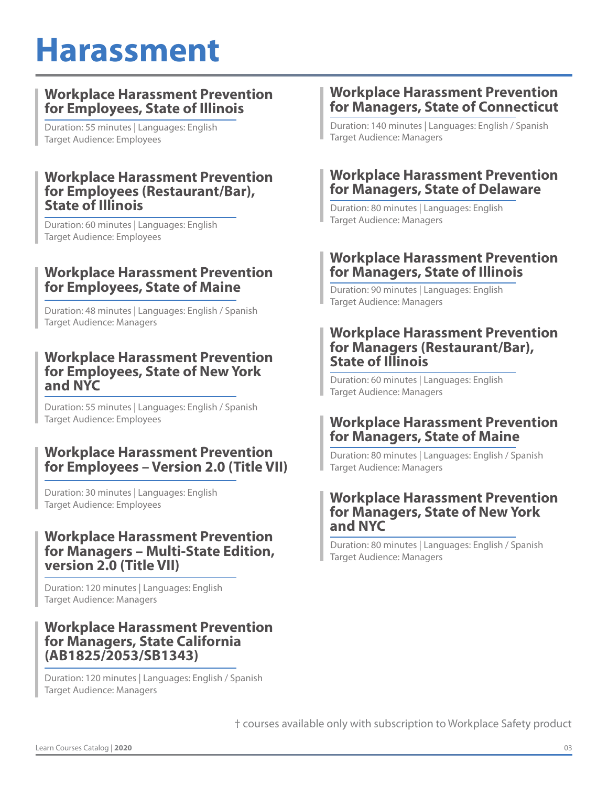## **Harassment**

#### **Workplace Harassment Prevention for Employees, State of Illinois**

Duration: 55 minutes | Languages: English Target Audience: Employees

#### **Workplace Harassment Prevention for Employees (Restaurant/Bar), State of Illinois**

Duration: 60 minutes | Languages: English Target Audience: Employees

#### **Workplace Harassment Prevention for Employees, State of Maine**

Duration: 48 minutes | Languages: English / Spanish Target Audience: Managers

#### **Workplace Harassment Prevention for Employees, State of New York and NYC**

Duration: 55 minutes | Languages: English / Spanish Target Audience: Employees

#### **Workplace Harassment Prevention for Employees – Version 2.0 (Title VII)**

Duration: 30 minutes | Languages: English Target Audience: Employees

#### **Workplace Harassment Prevention for Managers – Multi-State Edition, version 2.0 (Title VII)**

Duration: 120 minutes | Languages: English Target Audience: Managers

#### **Workplace Harassment Prevention for Managers, State California (AB1825/2053/SB1343)**

Duration: 120 minutes | Languages: English / Spanish Target Audience: Managers

#### **Workplace Harassment Prevention for Managers, State of Connecticut**

Duration: 140 minutes | Languages: English / Spanish Target Audience: Managers

#### **Workplace Harassment Prevention for Managers, State of Delaware**

Duration: 80 minutes | Languages: English Target Audience: Managers

#### **Workplace Harassment Prevention for Managers, State of Illinois**

Duration: 90 minutes | Languages: English Target Audience: Managers

#### **Workplace Harassment Prevention for Managers (Restaurant/Bar), State of Illinois**

Duration: 60 minutes | Languages: English Target Audience: Managers

#### **Workplace Harassment Prevention for Managers, State of Maine**

Duration: 80 minutes | Languages: English / Spanish Target Audience: Managers

#### **Workplace Harassment Prevention for Managers, State of New York and NYC**

Duration: 80 minutes | Languages: English / Spanish Target Audience: Managers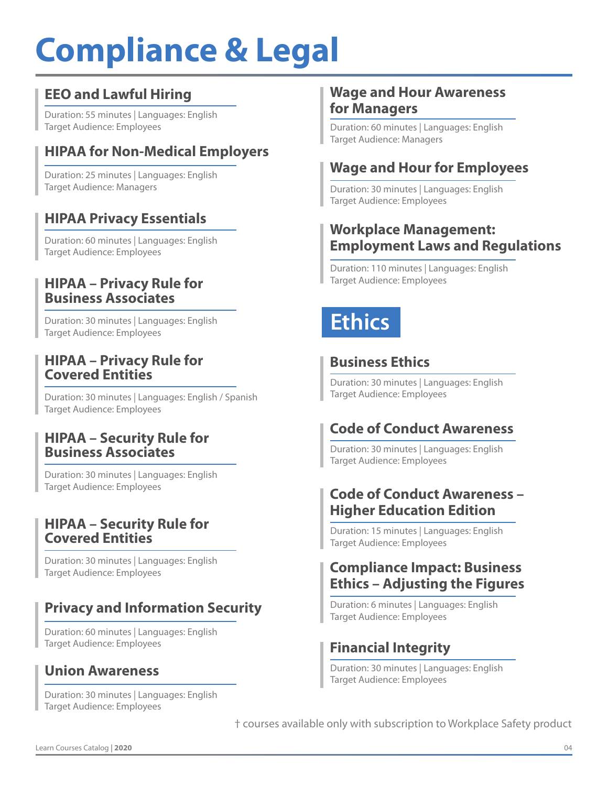## **Compliance & Legal**

#### **EEO and Lawful Hiring**

Duration: 55 minutes | Languages: English Target Audience: Employees

### **HIPAA for Non-Medical Employers**

Duration: 25 minutes | Languages: English Target Audience: Managers

#### **HIPAA Privacy Essentials**

Duration: 60 minutes | Languages: English Target Audience: Employees

#### **HIPAA – Privacy Rule for Business Associates**

Duration: 30 minutes | Languages: English Target Audience: Employees

#### **HIPAA – Privacy Rule for Covered Entities**

Duration: 30 minutes | Languages: English / Spanish Target Audience: Employees

#### **HIPAA – Security Rule for Business Associates**

Duration: 30 minutes | Languages: English Target Audience: Employees

#### **HIPAA – Security Rule for Covered Entities**

Duration: 30 minutes | Languages: English Target Audience: Employees

#### **Privacy and Information Security**

Duration: 60 minutes | Languages: English Target Audience: Employees

#### **Union Awareness**

Duration: 30 minutes | Languages: English Target Audience: Employees

#### **Wage and Hour Awareness for Managers**

Duration: 60 minutes | Languages: English Target Audience: Managers

#### **Wage and Hour for Employees**

Duration: 30 minutes | Languages: English Target Audience: Employees

#### **Workplace Management: Employment Laws and Regulations**

Duration: 110 minutes | Languages: English Target Audience: Employees

## **Ethics**

#### **Business Ethics**

Duration: 30 minutes | Languages: English Target Audience: Employees

#### **Code of Conduct Awareness**

Duration: 30 minutes | Languages: English Target Audience: Employees

#### **Code of Conduct Awareness – Higher Education Edition**

Duration: 15 minutes | Languages: English Target Audience: Employees

#### **Compliance Impact: Business Ethics – Adjusting the Figures**

Duration: 6 minutes | Languages: English Target Audience: Employees

#### **Financial Integrity**

Duration: 30 minutes | Languages: English Target Audience: Employees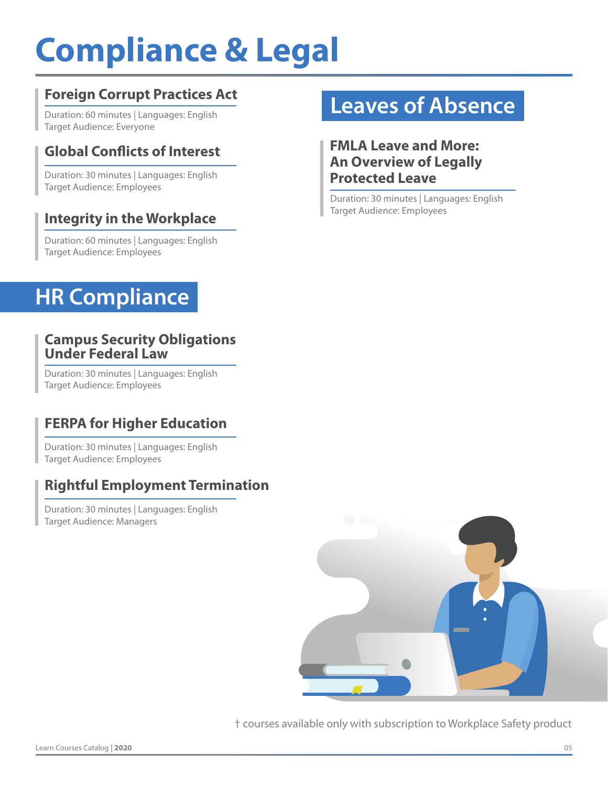## **Compliance & Legal**

#### **Foreign Corrupt Practices Act**

Duration: 60 minutes | Languages: English Target Audience: Everyone

#### **Global Conflicts of Interest**

Duration: 30 minutes | Languages: English Target Audience: Employees

#### **Integrity in the Workplace**

Duration: 60 minutes | Languages: English Target Audience: Employees

### **HR Compliance**

#### **Campus Security Obligations Under Federal Law**

Duration: 30 minutes | Languages: English Target Audience: Employees

#### **FERPA for Higher Education**

Duration: 30 minutes | Languages: English Target Audience: Employees

#### **Rightful Employment Termination**

Duration: 30 minutes | Languages: English Target Audience: Managers

### **Leaves of Absence**

#### **FMLA Leave and More: An Overview of Legally Protected Leave**

Duration: 30 minutes | Languages: English Target Audience: Employees

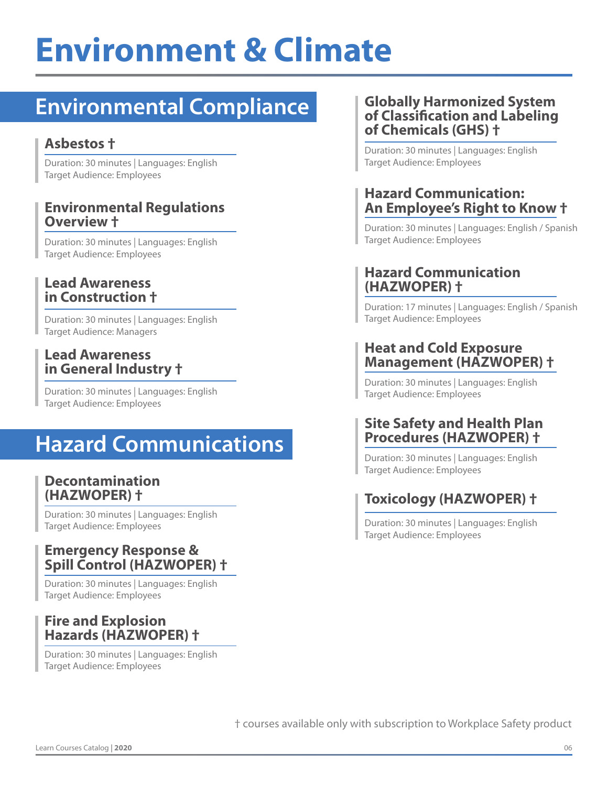## **Environment & Climate**

### **Environmental Compliance**

#### **Asbestos †**

Duration: 30 minutes | Languages: English Target Audience: Employees

#### **Environmental Regulations Overview †**

Duration: 30 minutes | Languages: English Target Audience: Employees

#### **Lead Awareness in Construction †**

Duration: 30 minutes | Languages: English Target Audience: Managers

#### **Lead Awareness in General Industry †**

Duration: 30 minutes | Languages: English Target Audience: Employees

### **Hazard Communications**

#### **Decontamination (HAZWOPER) †**

Duration: 30 minutes | Languages: English Target Audience: Employees

#### **Emergency Response & Spill Control (HAZWOPER) †**

Duration: 30 minutes | Languages: English Target Audience: Employees

#### **Fire and Explosion Hazards (HAZWOPER) †**

Duration: 30 minutes | Languages: English Target Audience: Employees

#### **Globally Harmonized System of Classification and Labeling of Chemicals (GHS) †**

Duration: 30 minutes | Languages: English Target Audience: Employees

#### **Hazard Communication: An Employee's Right to Know †**

Duration: 30 minutes | Languages: English / Spanish Target Audience: Employees

#### **Hazard Communication (HAZWOPER) †**

Duration: 17 minutes | Languages: English / Spanish Target Audience: Employees

#### **Heat and Cold Exposure Management (HAZWOPER) †**

Duration: 30 minutes | Languages: English Target Audience: Employees

#### **Site Safety and Health Plan Procedures (HAZWOPER) †**

Duration: 30 minutes | Languages: English Target Audience: Employees

#### **Toxicology (HAZWOPER) †**

Duration: 30 minutes | Languages: English Target Audience: Employees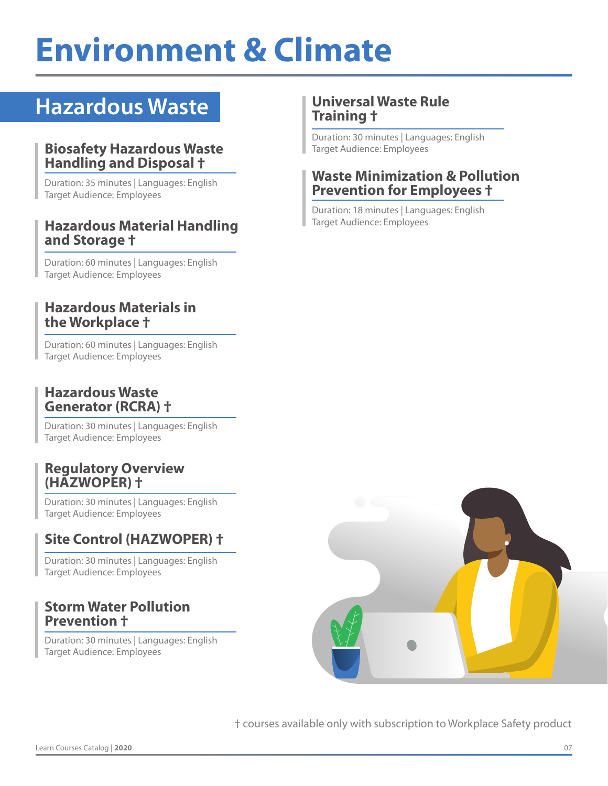## **Environment & Climate**

### **Hazardous Waste**

#### **Biosafety Hazardous Waste Handling and Disposal †**

Duration: 35 minutes | Languages: English Target Audience: Employees

#### **Hazardous Material Handling and Storage †**

Duration: 60 minutes | Languages: English Target Audience: Employees

#### **Hazardous Materials in the Workplace †**

Duration: 60 minutes | Languages: English Target Audience: Employees

#### **Hazardous Waste Generator (RCRA) †**

Duration: 30 minutes | Languages: English Target Audience: Employees

#### **Regulatory Overview (HAZWOPER) †**

Duration: 30 minutes | Languages: English Target Audience: Employees

#### **Site Control (HAZWOPER) †**

Duration: 30 minutes | Languages: English Target Audience: Employees

#### **Storm Water Pollution Prevention †**

Duration: 30 minutes | Languages: English Target Audience: Employees

#### **Universal Waste Rule Training †**

Duration: 30 minutes | Languages: English Target Audience: Employees

#### **Waste Minimization & Pollution Prevention for Employees †**

Duration: 18 minutes | Languages: English Target Audience: Employees

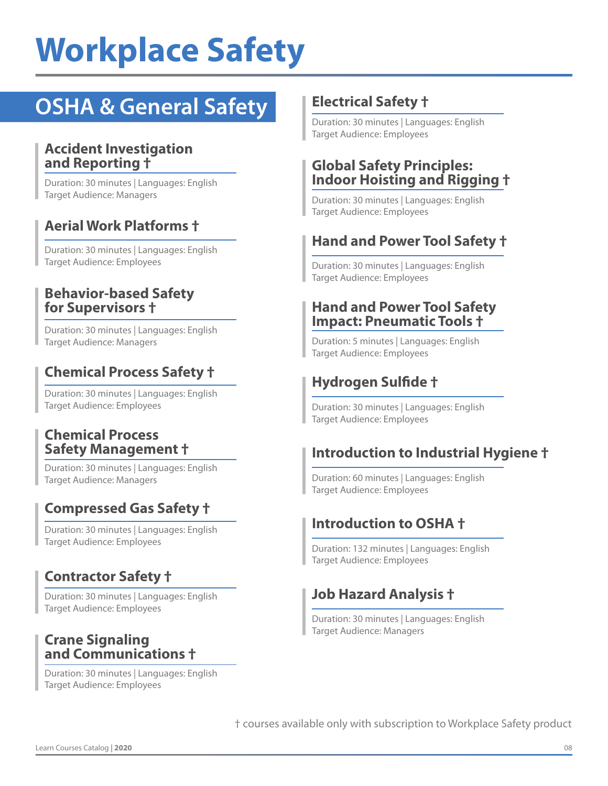### **OSHA & General Safety**

#### **Accident Investigation and Reporting †**

Duration: 30 minutes | Languages: English Target Audience: Managers

#### **Aerial Work Platforms †**

Duration: 30 minutes | Languages: English Target Audience: Employees

#### **Behavior-based Safety for Supervisors †**

Duration: 30 minutes | Languages: English Target Audience: Managers

#### **Chemical Process Safety †**

Duration: 30 minutes | Languages: English Target Audience: Employees

#### **Chemical Process Safety Management †**

Duration: 30 minutes | Languages: English Target Audience: Managers

#### **Compressed Gas Safety †**

Duration: 30 minutes | Languages: English Target Audience: Employees

#### **Contractor Safety †**

Duration: 30 minutes | Languages: English Target Audience: Employees

#### **Crane Signaling and Communications †**

Duration: 30 minutes | Languages: English Target Audience: Employees

#### **Electrical Safety †**

Duration: 30 minutes | Languages: English Target Audience: Employees

#### **Global Safety Principles: Indoor Hoisting and Rigging †**

Duration: 30 minutes | Languages: English Target Audience: Employees

#### **Hand and Power Tool Safety †**

Duration: 30 minutes | Languages: English Target Audience: Employees

#### **Hand and Power Tool Safety Impact: Pneumatic Tools †**

Duration: 5 minutes | Languages: English Target Audience: Employees

#### **Hydrogen Sulfide †**

Duration: 30 minutes | Languages: English Target Audience: Employees

#### **Introduction to Industrial Hygiene †**

Duration: 60 minutes | Languages: English Target Audience: Employees

#### **Introduction to OSHA †**

Duration: 132 minutes | Languages: English Target Audience: Employees

#### **Job Hazard Analysis †**

Duration: 30 minutes | Languages: English Target Audience: Managers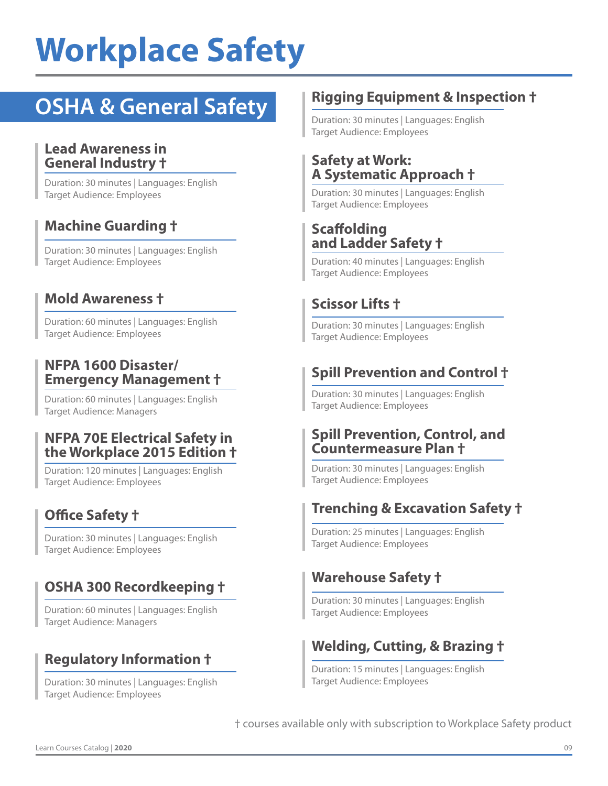### **OSHA & General Safety**

#### **Lead Awareness in General Industry †**

Duration: 30 minutes | Languages: English Target Audience: Employees

#### **Machine Guarding †**

Duration: 30 minutes | Languages: English Target Audience: Employees

#### **Mold Awareness †**

Duration: 60 minutes | Languages: English Target Audience: Employees

#### **NFPA 1600 Disaster/ Emergency Management †**

Duration: 60 minutes | Languages: English Target Audience: Managers

#### **NFPA 70E Electrical Safety in the Workplace 2015 Edition †**

Duration: 120 minutes | Languages: English Target Audience: Employees

#### **Office Safety †**

Duration: 30 minutes | Languages: English Target Audience: Employees

#### **OSHA 300 Recordkeeping †**

Duration: 60 minutes | Languages: English Target Audience: Managers

#### **Regulatory Information †**

Duration: 30 minutes | Languages: English Target Audience: Employees

#### **Rigging Equipment & Inspection †**

Duration: 30 minutes | Languages: English Target Audience: Employees

#### **Safety at Work: A Systematic Approach †**

Duration: 30 minutes | Languages: English Target Audience: Employees

#### **Scaffolding and Ladder Safety †**

Duration: 40 minutes | Languages: English Target Audience: Employees

#### **Scissor Lifts †**

Duration: 30 minutes | Languages: English Target Audience: Employees

#### **Spill Prevention and Control †**

Duration: 30 minutes | Languages: English Target Audience: Employees

#### **Spill Prevention, Control, and Countermeasure Plan †**

Duration: 30 minutes | Languages: English Target Audience: Employees

#### **Trenching & Excavation Safety †**

Duration: 25 minutes | Languages: English Target Audience: Employees

#### **Warehouse Safety †**

Duration: 30 minutes | Languages: English Target Audience: Employees

#### **Welding, Cutting, & Brazing †**

Duration: 15 minutes | Languages: English Target Audience: Employees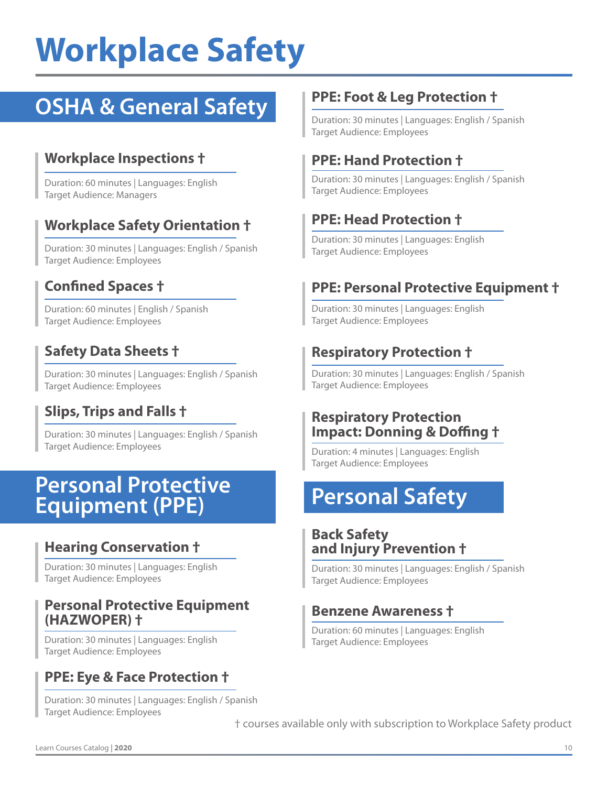### **OSHA & General Safety**

#### **Workplace Inspections †**

Duration: 60 minutes | Languages: English Target Audience: Managers

#### **Workplace Safety Orientation †**

Duration: 30 minutes | Languages: English / Spanish Target Audience: Employees

#### **Confined Spaces †**

Duration: 60 minutes | English / Spanish Target Audience: Employees

#### **Safety Data Sheets †**

Duration: 30 minutes | Languages: English / Spanish Target Audience: Employees

#### **Slips, Trips and Falls †**

Duration: 30 minutes | Languages: English / Spanish Target Audience: Employees

### **Personal Protective**<br> **Personal Safety Equipment (PPE)**

#### **Hearing Conservation †**

Duration: 30 minutes | Languages: English Target Audience: Employees

#### **Personal Protective Equipment (HAZWOPER) †**

Duration: 30 minutes | Languages: English Target Audience: Employees

#### **PPE: Eye & Face Protection †**

Duration: 30 minutes | Languages: English / Spanish Target Audience: Employees

#### **PPE: Foot & Leg Protection †**

Duration: 30 minutes | Languages: English / Spanish Target Audience: Employees

#### **PPE: Hand Protection †**

Duration: 30 minutes | Languages: English / Spanish Target Audience: Employees

#### **PPE: Head Protection †**

Duration: 30 minutes | Languages: English Target Audience: Employees

#### **PPE: Personal Protective Equipment †**

Duration: 30 minutes | Languages: English Target Audience: Employees

#### **Respiratory Protection †**

Duration: 30 minutes | Languages: English / Spanish Target Audience: Employees

#### **Respiratory Protection Impact: Donning & Doffing †**

Duration: 4 minutes | Languages: English Target Audience: Employees

#### **Back Safety and Injury Prevention †**

Duration: 30 minutes | Languages: English / Spanish Target Audience: Employees

#### **Benzene Awareness †**

Duration: 60 minutes | Languages: English Target Audience: Employees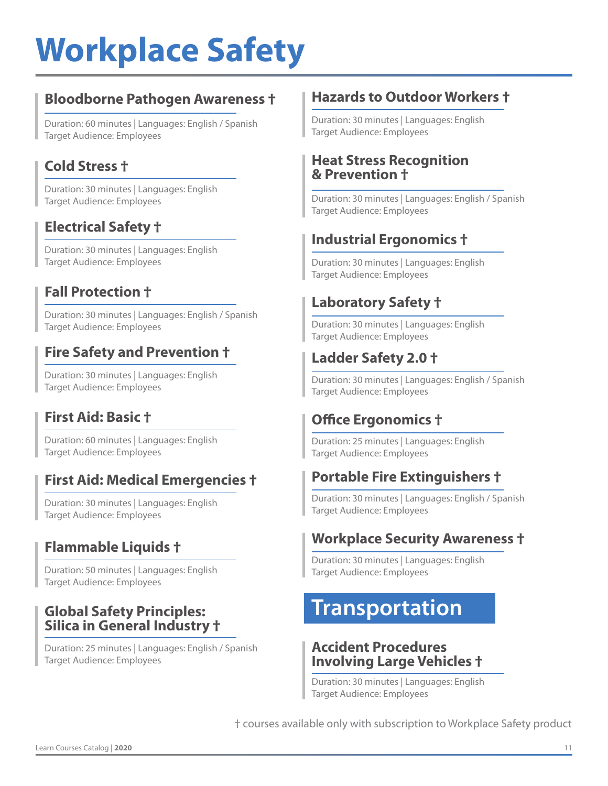#### **Bloodborne Pathogen Awareness †**

Duration: 60 minutes | Languages: English / Spanish Target Audience: Employees

#### **Cold Stress †**

Duration: 30 minutes | Languages: English Target Audience: Employees

#### **Electrical Safety †**

Duration: 30 minutes | Languages: English Target Audience: Employees

#### **Fall Protection †**

Duration: 30 minutes | Languages: English / Spanish Target Audience: Employees

#### **Fire Safety and Prevention †**

Duration: 30 minutes | Languages: English Target Audience: Employees

#### **First Aid: Basic †**

Duration: 60 minutes | Languages: English Target Audience: Employees

#### **First Aid: Medical Emergencies †**

Duration: 30 minutes | Languages: English Target Audience: Employees

#### **Flammable Liquids †**

Duration: 50 minutes | Languages: English Target Audience: Employees

#### **Global Safety Principles: Silica in General Industry †**

Duration: 25 minutes | Languages: English / Spanish Target Audience: Employees

#### **Hazards to Outdoor Workers †**

Duration: 30 minutes | Languages: English Target Audience: Employees

#### **Heat Stress Recognition & Prevention †**

Duration: 30 minutes | Languages: English / Spanish Target Audience: Employees

#### **Industrial Ergonomics †**

Duration: 30 minutes | Languages: English Target Audience: Employees

#### **Laboratory Safety †**

Duration: 30 minutes | Languages: English Target Audience: Employees

#### **Ladder Safety 2.0 †**

Duration: 30 minutes | Languages: English / Spanish Target Audience: Employees

#### **Office Ergonomics †**

Duration: 25 minutes | Languages: English Target Audience: Employees

#### **Portable Fire Extinguishers †**

Duration: 30 minutes | Languages: English / Spanish Target Audience: Employees

#### **Workplace Security Awareness †**

Duration: 30 minutes | Languages: English Target Audience: Employees

### **Transportation**

#### **Accident Procedures Involving Large Vehicles †**

Duration: 30 minutes | Languages: English Target Audience: Employees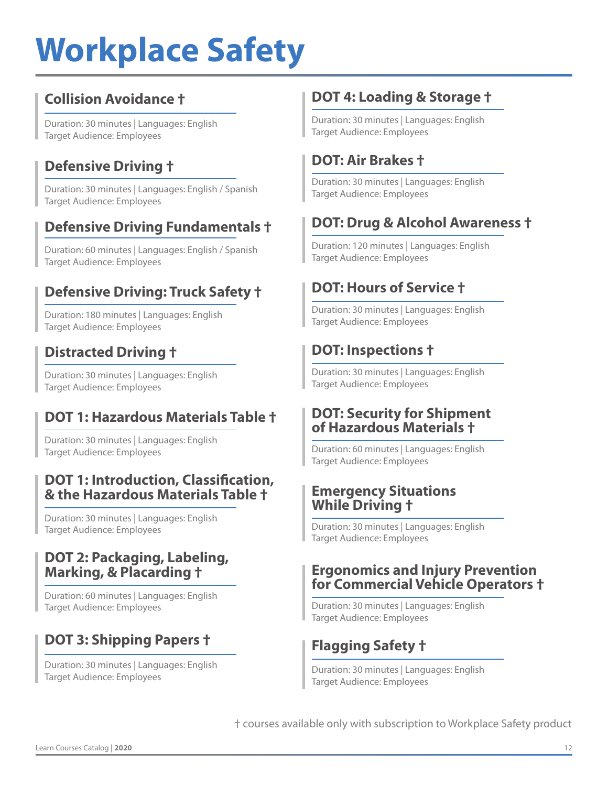#### **Collision Avoidance †**

Duration: 30 minutes | Languages: English Target Audience: Employees

#### **Defensive Driving †**

Duration: 30 minutes | Languages: English / Spanish Target Audience: Employees

#### **Defensive Driving Fundamentals †**

Duration: 60 minutes | Languages: English / Spanish Target Audience: Employees

#### **Defensive Driving: Truck Safety †**

Duration: 180 minutes | Languages: English Target Audience: Employees

#### **Distracted Driving †**

Duration: 30 minutes | Languages: English Target Audience: Employees

#### **DOT 1: Hazardous Materials Table †**

Duration: 30 minutes | Languages: English Target Audience: Employees

#### **DOT 1: Introduction, Classification, & the Hazardous Materials Table †**

Duration: 30 minutes | Languages: English Target Audience: Employees

#### **DOT 2: Packaging, Labeling, Marking, & Placarding †**

Duration: 60 minutes | Languages: English Target Audience: Employees

#### **DOT 3: Shipping Papers †**

Duration: 30 minutes | Languages: English Target Audience: Employees

#### **DOT 4: Loading & Storage †**

Duration: 30 minutes | Languages: English Target Audience: Employees

#### **DOT: Air Brakes †**

Duration: 30 minutes | Languages: English Target Audience: Employees

#### **DOT: Drug & Alcohol Awareness †**

Duration: 120 minutes | Languages: English Target Audience: Employees

#### **DOT: Hours of Service †**

Duration: 30 minutes | Languages: English Target Audience: Employees

#### **DOT: Inspections †**

Duration: 30 minutes | Languages: English Target Audience: Employees

#### **DOT: Security for Shipment of Hazardous Materials †**

Duration: 60 minutes | Languages: English Target Audience: Employees

#### **Emergency Situations While Driving †**

Duration: 30 minutes | Languages: English Target Audience: Employees

#### **Ergonomics and Injury Prevention for Commercial Vehicle Operators †**

Duration: 30 minutes | Languages: English Target Audience: Employees

#### **Flagging Safety †**

Duration: 30 minutes | Languages: English Target Audience: Employees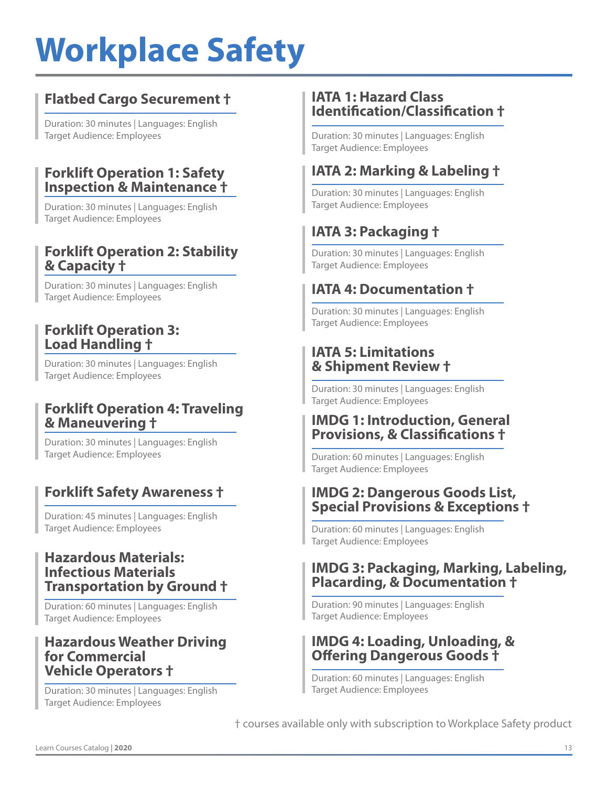#### **Flatbed Cargo Securement †**

Duration: 30 minutes | Languages: English Target Audience: Employees

#### **Forklift Operation 1: Safety Inspection & Maintenance †**

Duration: 30 minutes | Languages: English Target Audience: Employees

#### **Forklift Operation 2: Stability & Capacity †**

Duration: 30 minutes | Languages: English Target Audience: Employees

#### **Forklift Operation 3: Load Handling †**

Duration: 30 minutes | Languages: English Target Audience: Employees

#### **Forklift Operation 4: Traveling & Maneuvering †**

Duration: 30 minutes | Languages: English Target Audience: Employees

#### **Forklift Safety Awareness †**

Duration: 45 minutes | Languages: English Target Audience: Employees

#### **Hazardous Materials: Infectious Materials Transportation by Ground †**

Duration: 60 minutes | Languages: English Target Audience: Employees

#### **Hazardous Weather Driving for Commercial Vehicle Operators †**

Duration: 30 minutes | Languages: English Target Audience: Employees

#### **IATA 1: Hazard Class Identification/Classification †**

Duration: 30 minutes | Languages: English Target Audience: Employees

#### **IATA 2: Marking & Labeling †**

Duration: 30 minutes | Languages: English Target Audience: Employees

### **IATA 3: Packaging †**

Duration: 30 minutes | Languages: English Target Audience: Employees

#### **IATA 4: Documentation †**

Duration: 30 minutes | Languages: English Target Audience: Employees

#### **IATA 5: Limitations & Shipment Review †**

Duration: 30 minutes | Languages: English Target Audience: Employees

#### **IMDG 1: Introduction, General Provisions, & Classifications †**

Duration: 60 minutes | Languages: English Target Audience: Employees

#### **IMDG 2: Dangerous Goods List, Special Provisions & Exceptions †**

Duration: 60 minutes | Languages: English Target Audience: Employees

#### **IMDG 3: Packaging, Marking, Labeling, Placarding, & Documentation †**

Duration: 90 minutes | Languages: English Target Audience: Employees

#### **IMDG 4: Loading, Unloading, & Offering Dangerous Goods †**

Duration: 60 minutes | Languages: English Target Audience: Employees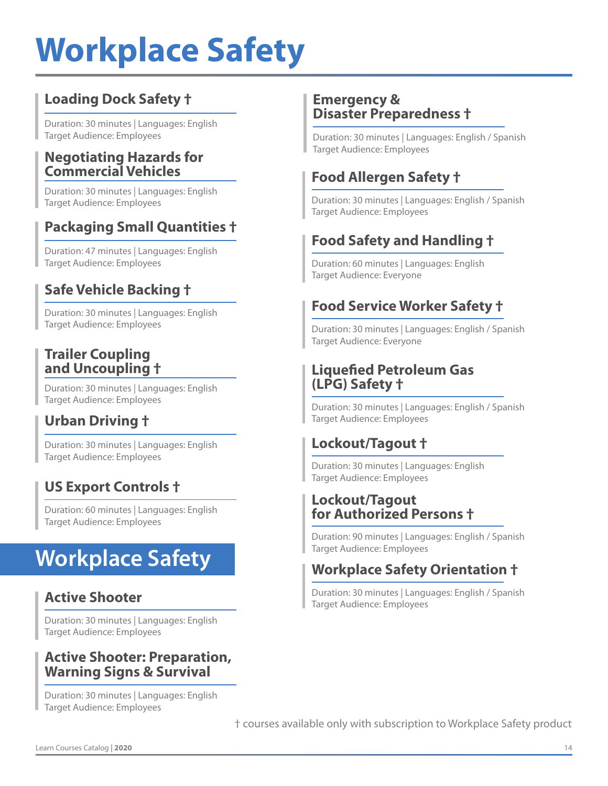#### **Loading Dock Safety †**

Duration: 30 minutes | Languages: English Target Audience: Employees

#### **Negotiating Hazards for Commercial Vehicles**

Duration: 30 minutes | Languages: English Target Audience: Employees

#### **Packaging Small Quantities †**

Duration: 47 minutes | Languages: English Target Audience: Employees

#### **Safe Vehicle Backing †**

Duration: 30 minutes | Languages: English Target Audience: Employees

#### **Trailer Coupling and Uncoupling †**

Duration: 30 minutes | Languages: English Target Audience: Employees

#### **Urban Driving †**

Duration: 30 minutes | Languages: English Target Audience: Employees

#### **US Export Controls †**

Duration: 60 minutes | Languages: English Target Audience: Employees

### **Workplace Safety**

#### **Active Shooter**

Duration: 30 minutes | Languages: English Target Audience: Employees

#### **Active Shooter: Preparation, Warning Signs & Survival**

Duration: 30 minutes | Languages: English Target Audience: Employees

#### **Emergency & Disaster Preparedness †**

Duration: 30 minutes | Languages: English / Spanish Target Audience: Employees

#### **Food Allergen Safety †**

Duration: 30 minutes | Languages: English / Spanish Target Audience: Employees

### **Food Safety and Handling †**

Duration: 60 minutes | Languages: English Target Audience: Everyone

#### **Food Service Worker Safety †**

Duration: 30 minutes | Languages: English / Spanish Target Audience: Everyone

#### **Liquefied Petroleum Gas (LPG) Safety †**

Duration: 30 minutes | Languages: English / Spanish Target Audience: Employees

#### **Lockout/Tagout †**

Duration: 30 minutes | Languages: English Target Audience: Employees

#### **Lockout/Tagout for Authorized Persons †**

Duration: 90 minutes | Languages: English / Spanish Target Audience: Employees

#### **Workplace Safety Orientation †**

Duration: 30 minutes | Languages: English / Spanish Target Audience: Employees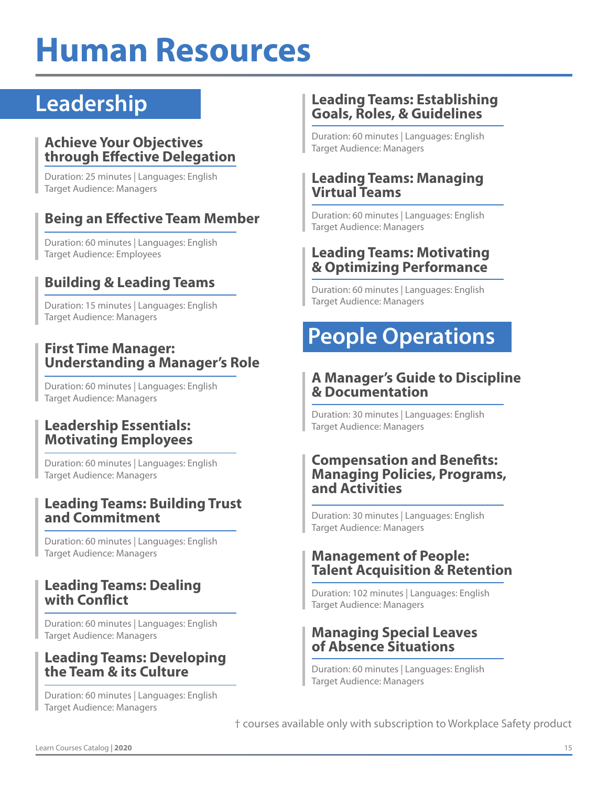## **Human Resources**

### **Leadership**

#### **Achieve Your Objectives through Effective Delegation**

Duration: 25 minutes | Languages: English Target Audience: Managers

#### **Being an Effective Team Member**

Duration: 60 minutes | Languages: English Target Audience: Employees

#### **Building & Leading Teams**

Duration: 15 minutes | Languages: English Target Audience: Managers

#### **First Time Manager: Understanding a Manager's Role**

Duration: 60 minutes | Languages: English Target Audience: Managers

#### **Leadership Essentials: Motivating Employees**

Duration: 60 minutes | Languages: English Target Audience: Managers

#### **Leading Teams: Building Trust and Commitment**

Duration: 60 minutes | Languages: English Target Audience: Managers

#### **Leading Teams: Dealing with Conflict**

Duration: 60 minutes | Languages: English Target Audience: Managers

#### **Leading Teams: Developing the Team & its Culture**

Duration: 60 minutes | Languages: English Target Audience: Managers

#### **Leading Teams: Establishing Goals, Roles, & Guidelines**

Duration: 60 minutes | Languages: English Target Audience: Managers

#### **Leading Teams: Managing Virtual Teams**

Duration: 60 minutes | Languages: English Target Audience: Managers

#### **Leading Teams: Motivating & Optimizing Performance**

Duration: 60 minutes | Languages: English Target Audience: Managers

### **People Operations**

#### **A Manager's Guide to Discipline & Documentation**

Duration: 30 minutes | Languages: English Target Audience: Managers

#### **Compensation and Benefits: Managing Policies, Programs, and Activities**

Duration: 30 minutes | Languages: English Target Audience: Managers

#### **Management of People: Talent Acquisition & Retention**

Duration: 102 minutes | Languages: English Target Audience: Managers

#### **Managing Special Leaves of Absence Situations**

Duration: 60 minutes | Languages: English Target Audience: Managers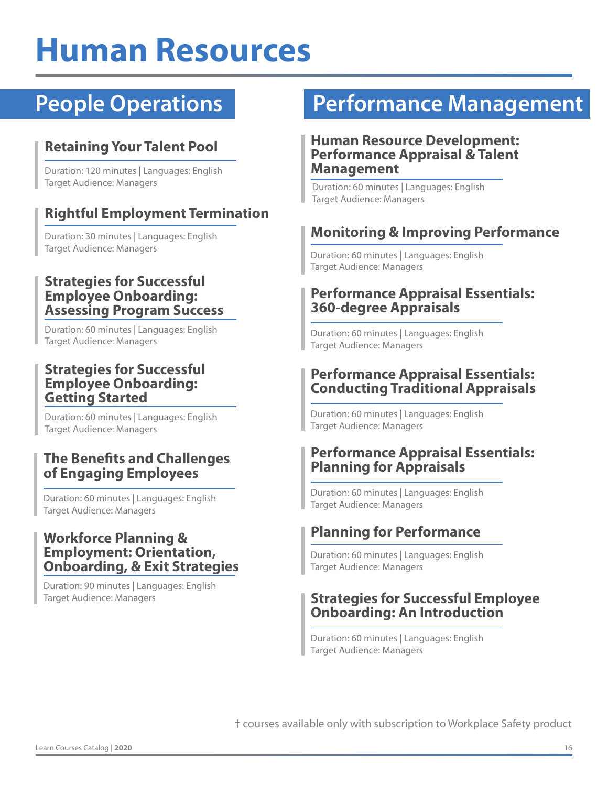## **Human Resources**

#### **Retaining Your Talent Pool**

Duration: 120 minutes | Languages: English Target Audience: Managers

#### **Rightful Employment Termination**

Duration: 30 minutes | Languages: English Target Audience: Managers

#### **Strategies for Successful Employee Onboarding: Assessing Program Success**

Duration: 60 minutes | Languages: English Target Audience: Managers

#### **Strategies for Successful Employee Onboarding: Getting Started**

Duration: 60 minutes | Languages: English Target Audience: Managers

#### **The Benefits and Challenges of Engaging Employees**

Duration: 60 minutes | Languages: English Target Audience: Managers

#### **Workforce Planning & Employment: Orientation, Onboarding, & Exit Strategies**

Duration: 90 minutes | Languages: English Target Audience: Managers

### **People Operations Performance Management**

#### **Human Resource Development: Performance Appraisal & Talent Management**

Duration: 60 minutes | Languages: English Target Audience: Managers

#### **Monitoring & Improving Performance**

Duration: 60 minutes | Languages: English Target Audience: Managers

#### **Performance Appraisal Essentials: 360-degree Appraisals**

Duration: 60 minutes | Languages: English Target Audience: Managers

#### **Performance Appraisal Essentials: Conducting Traditional Appraisals**

Duration: 60 minutes | Languages: English Target Audience: Managers

#### **Performance Appraisal Essentials: Planning for Appraisals**

Duration: 60 minutes | Languages: English Target Audience: Managers

#### **Planning for Performance**

Duration: 60 minutes | Languages: English Target Audience: Managers

#### **Strategies for Successful Employee Onboarding: An Introduction**

Duration: 60 minutes | Languages: English Target Audience: Managers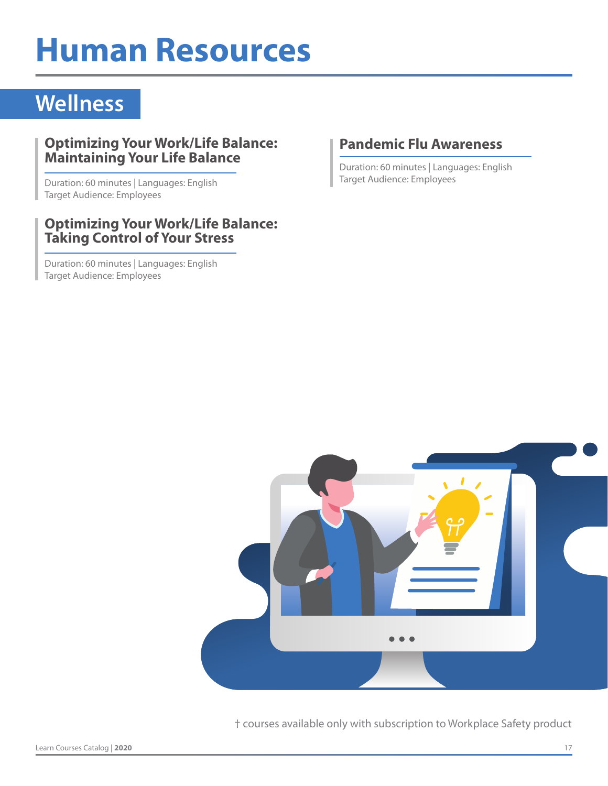## **Human Resources**

### **Wellness**

#### **Optimizing Your Work/Life Balance: Maintaining Your Life Balance**

Duration: 60 minutes | Languages: English Target Audience: Employees

#### **Optimizing Your Work/Life Balance: Taking Control of Your Stress**

Duration: 60 minutes | Languages: English Target Audience: Employees

#### **Pandemic Flu Awareness**

Duration: 60 minutes | Languages: English Target Audience: Employees

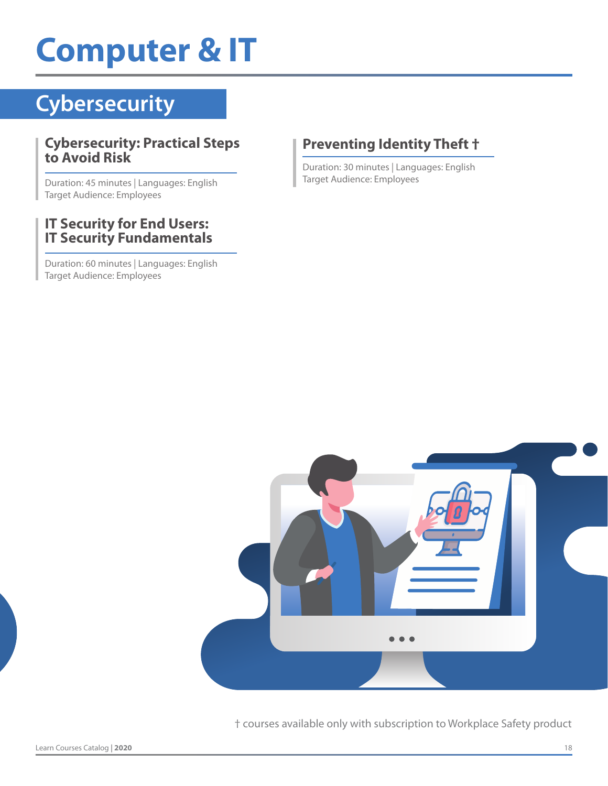## **Computer & IT**

### **Cybersecurity**

#### **Cybersecurity: Practical Steps to Avoid Risk**

Duration: 45 minutes | Languages: English Target Audience: Employees

#### **IT Security for End Users: IT Security Fundamentals**

Duration: 60 minutes | Languages: English Target Audience: Employees

#### **Preventing Identity Theft †**

Duration: 30 minutes | Languages: English Target Audience: Employees

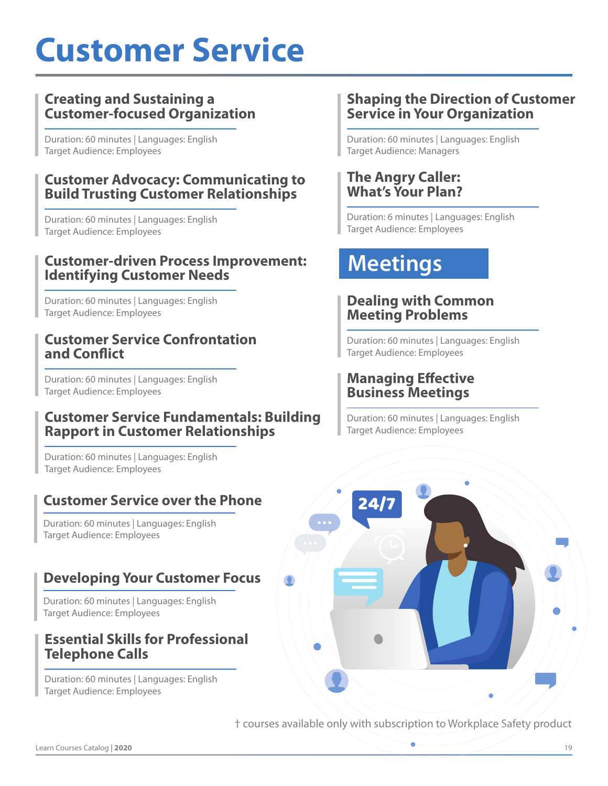## **Customer Service**

#### **Creating and Sustaining a Customer-focused Organization**

Duration: 60 minutes | Languages: English Target Audience: Employees

#### **Customer Advocacy: Communicating to Build Trusting Customer Relationships**

Duration: 60 minutes | Languages: English Target Audience: Employees

#### **Customer-driven Process Improvement: Identifying Customer Needs**

Duration: 60 minutes | Languages: English Target Audience: Employees

#### **Customer Service Confrontation and Conflict**

Duration: 60 minutes | Languages: English Target Audience: Employees

#### **Customer Service Fundamentals: Building Rapport in Customer Relationships**

Duration: 60 minutes | Languages: English Target Audience: Employees

#### **Customer Service over the Phone**

Duration: 60 minutes | Languages: English Target Audience: Employees

#### **Developing Your Customer Focus**

Duration: 60 minutes | Languages: English Target Audience: Employees

#### **Essential Skills for Professional Telephone Calls**

Duration: 60 minutes | Languages: English Target Audience: Employees

#### **Shaping the Direction of Customer Service in Your Organization**

Duration: 60 minutes | Languages: English Target Audience: Managers

#### **The Angry Caller: What's Your Plan?**

Duration: 6 minutes | Languages: English Target Audience: Employees

### **Meetings**

#### **Dealing with Common Meeting Problems**

Duration: 60 minutes | Languages: English Target Audience: Employees

#### **Managing Effective Business Meetings**

Duration: 60 minutes | Languages: English Target Audience: Employees

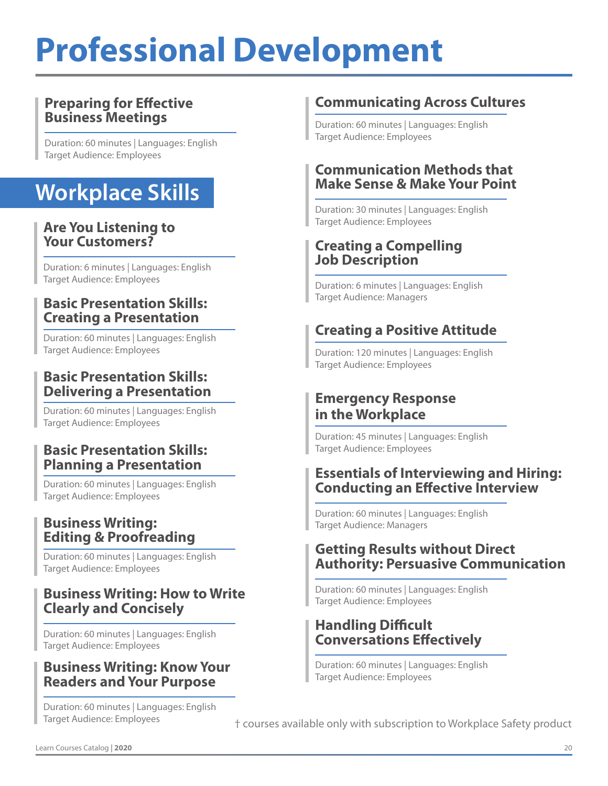## **Professional Development**

#### **Preparing for Effective Business Meetings**

Duration: 60 minutes | Languages: English Target Audience: Employees

### **Workplace Skills**

#### **Are You Listening to Your Customers?**

Duration: 6 minutes | Languages: English Target Audience: Employees

#### **Basic Presentation Skills: Creating a Presentation**

Duration: 60 minutes | Languages: English Target Audience: Employees

#### **Basic Presentation Skills: Delivering a Presentation**

Duration: 60 minutes | Languages: English Target Audience: Employees

#### **Basic Presentation Skills: Planning a Presentation**

Duration: 60 minutes | Languages: English Target Audience: Employees

#### **Business Writing: Editing & Proofreading**

Duration: 60 minutes | Languages: English Target Audience: Employees

#### **Business Writing: How to Write Clearly and Concisely**

Duration: 60 minutes | Languages: English Target Audience: Employees

#### **Business Writing: Know Your Readers and Your Purpose**

Duration: 60 minutes | Languages: English Target Audience: Employees

#### **Communicating Across Cultures**

Duration: 60 minutes | Languages: English Target Audience: Employees

#### **Communication Methods that Make Sense & Make Your Point**

Duration: 30 minutes | Languages: English Target Audience: Employees

#### **Creating a Compelling Job Description**

Duration: 6 minutes | Languages: English Target Audience: Managers

#### **Creating a Positive Attitude**

Duration: 120 minutes | Languages: English Target Audience: Employees

#### **Emergency Response in the Workplace**

Duration: 45 minutes | Languages: English Target Audience: Employees

#### **Essentials of Interviewing and Hiring: Conducting an Effective Interview**

Duration: 60 minutes | Languages: English Target Audience: Managers

#### **Getting Results without Direct Authority: Persuasive Communication**

Duration: 60 minutes | Languages: English Target Audience: Employees

#### **Handling Difficult Conversations Effectively**

Duration: 60 minutes | Languages: English Target Audience: Employees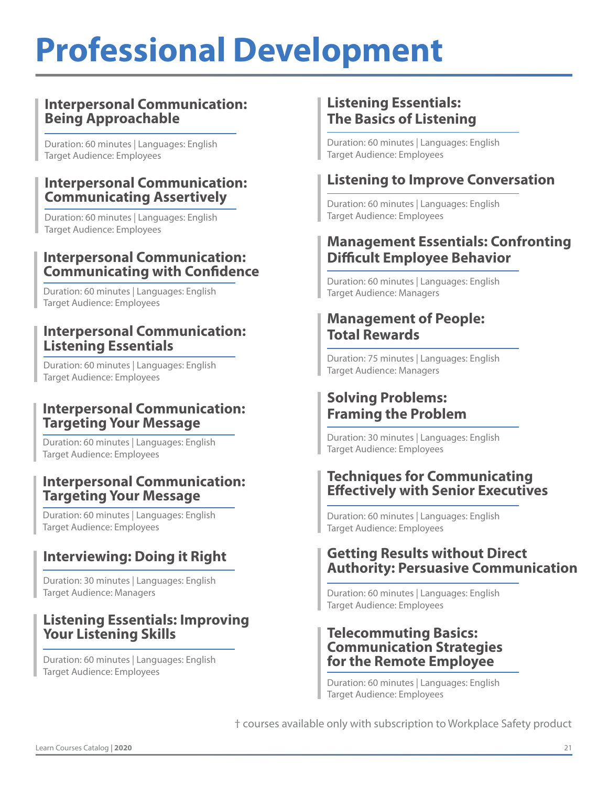## **Professional Development**

#### **Interpersonal Communication: Being Approachable**

Duration: 60 minutes | Languages: English Target Audience: Employees

#### **Interpersonal Communication: Communicating Assertively**

Duration: 60 minutes | Languages: English Target Audience: Employees

#### **Interpersonal Communication: Communicating with Confidence**

Duration: 60 minutes | Languages: English Target Audience: Employees

#### **Interpersonal Communication: Listening Essentials**

Duration: 60 minutes | Languages: English Target Audience: Employees

#### **Interpersonal Communication: Targeting Your Message**

Duration: 60 minutes | Languages: English Target Audience: Employees

#### **Interpersonal Communication: Targeting Your Message**

Duration: 60 minutes | Languages: English Target Audience: Employees

#### **Interviewing: Doing it Right**

Duration: 30 minutes | Languages: English Target Audience: Managers

#### **Listening Essentials: Improving Your Listening Skills**

Duration: 60 minutes | Languages: English Target Audience: Employees

#### **Listening Essentials: The Basics of Listening**

Duration: 60 minutes | Languages: English Target Audience: Employees

#### **Listening to Improve Conversation**

Duration: 60 minutes | Languages: English Target Audience: Employees

#### **Management Essentials: Confronting Difficult Employee Behavior**

Duration: 60 minutes | Languages: English Target Audience: Managers

#### **Management of People: Total Rewards**

Duration: 75 minutes | Languages: English Target Audience: Managers

#### **Solving Problems: Framing the Problem**

Duration: 30 minutes | Languages: English Target Audience: Employees

#### **Techniques for Communicating Effectively with Senior Executives**

Duration: 60 minutes | Languages: English Target Audience: Employees

#### **Getting Results without Direct Authority: Persuasive Communication**

Duration: 60 minutes | Languages: English Target Audience: Employees

#### **Telecommuting Basics: Communication Strategies for the Remote Employee**

Duration: 60 minutes | Languages: English Target Audience: Employees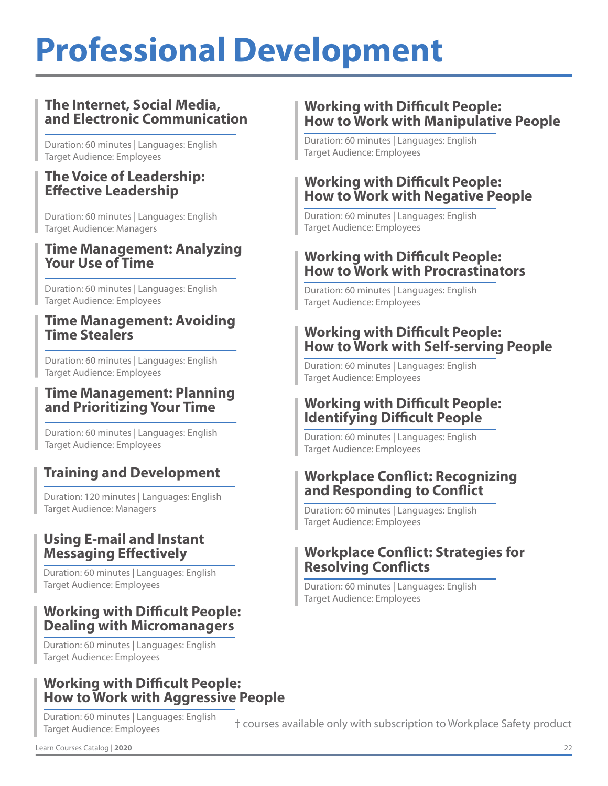## **Professional Development**

#### **The Internet, Social Media, and Electronic Communication**

Duration: 60 minutes | Languages: English Target Audience: Employees

#### **The Voice of Leadership: Effective Leadership**

Duration: 60 minutes | Languages: English Target Audience: Managers

#### **Time Management: Analyzing Your Use of Time**

Duration: 60 minutes | Languages: English Target Audience: Employees

#### **Time Management: Avoiding Time Stealers**

Duration: 60 minutes | Languages: English Target Audience: Employees

#### **Time Management: Planning and Prioritizing Your Time**

Duration: 60 minutes | Languages: English Target Audience: Employees

#### **Training and Development**

Duration: 120 minutes | Languages: English Target Audience: Managers

#### **Using E-mail and Instant Messaging Effectively**

Duration: 60 minutes | Languages: English Target Audience: Employees

#### **Working with Difficult People: Dealing with Micromanagers**

Duration: 60 minutes | Languages: English Target Audience: Employees

#### **Working with Difficult People: How to Work with Aggressive People**

Duration: 60 minutes | Languages: English Target Audience: Employees

#### **Working with Difficult People: How to Work with Manipulative People**

Duration: 60 minutes | Languages: English Target Audience: Employees

#### **Working with Difficult People: How to Work with Negative People**

Duration: 60 minutes | Languages: English Target Audience: Employees

#### **Working with Difficult People: How to Work with Procrastinators**

Duration: 60 minutes | Languages: English Target Audience: Employees

#### **Working with Difficult People: How to Work with Self-serving People**

Duration: 60 minutes | Languages: English Target Audience: Employees

#### **Working with Difficult People: Identifying Difficult People**

Duration: 60 minutes | Languages: English Target Audience: Employees

#### **Workplace Conflict: Recognizing and Responding to Conflict**

Duration: 60 minutes | Languages: English Target Audience: Employees

#### **Workplace Conflict: Strategies for Resolving Conflicts**

Duration: 60 minutes | Languages: English Target Audience: Employees